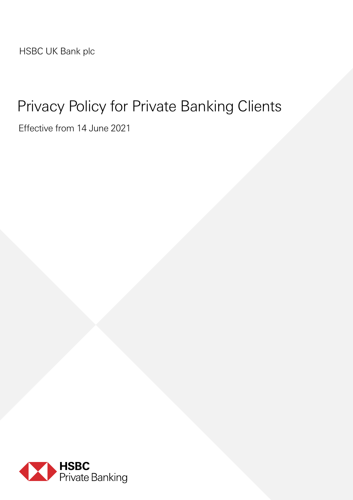HSBC UK Bank plc

### Privacy Policy for Private Banking Clients

Effective from 14 June 2021

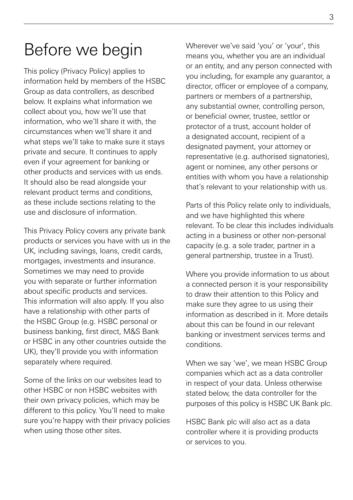### Before we begin

This policy (Privacy Policy) applies to information held by members of the HSBC Group as data controllers, as described below. It explains what information we collect about you, how we'll use that information, who we'll share it with, the circumstances when we'll share it and what steps we'll take to make sure it stays private and secure. It continues to apply even if your agreement for banking or other products and services with us ends. It should also be read alongside your relevant product terms and conditions, as these include sections relating to the use and disclosure of information.

This Privacy Policy covers any private bank products or services you have with us in the UK, including savings, loans, credit cards, mortgages, investments and insurance. Sometimes we may need to provide you with separate or further information about specific products and services. This information will also apply. If you also have a relationship with other parts of the HSBC Group (e.g. HSBC personal or business banking, first direct, M&S Bank or HSBC in any other countries outside the UK), they'll provide you with information separately where required.

Some of the links on our websites lead to other HSBC or non HSBC websites with their own privacy policies, which may be different to this policy. You'll need to make sure you're happy with their privacy policies when using those other sites.

Wherever we've said 'you' or 'your', this means you, whether you are an individual or an entity, and any person connected with you including, for example any guarantor, a director, officer or employee of a company, partners or members of a partnership, any substantial owner, controlling person, or beneficial owner, trustee, settlor or protector of a trust, account holder of a designated account, recipient of a designated payment, your attorney or representative (e.g. authorised signatories), agent or nominee, any other persons or entities with whom you have a relationship that's relevant to your relationship with us.

Parts of this Policy relate only to individuals, and we have highlighted this where relevant. To be clear this includes individuals acting in a business or other non-personal capacity (e.g. a sole trader, partner in a general partnership, trustee in a Trust).

Where you provide information to us about a connected person it is your responsibility to draw their attention to this Policy and make sure they agree to us using their information as described in it. More details about this can be found in our relevant banking or investment services terms and conditions.

When we say 'we', we mean HSBC Group companies which act as a data controller in respect of your data. Unless otherwise stated below, the data controller for the purposes of this policy is HSBC UK Bank plc.

HSBC Bank plc will also act as a data controller where it is providing products or services to you.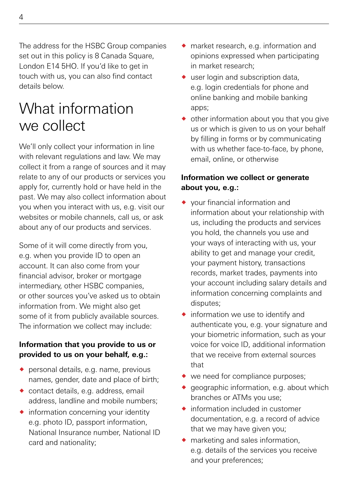The address for the HSBC Group companies set out in this policy is 8 Canada Square. London E14 5HO. If you'd like to get in touch with us, you can also find contact details below.

### What information we collect

We'll only collect your information in line with relevant regulations and law. We may collect it from a range of sources and it may relate to any of our products or services you apply for, currently hold or have held in the past. We may also collect information about you when you interact with us, e.g. visit our websites or mobile channels, call us, or ask about any of our products and services.

Some of it will come directly from you, e.g. when you provide ID to open an account. It can also come from your financial advisor, broker or mortgage intermediary, other HSBC companies, or other sources you've asked us to obtain information from. We might also get some of it from publicly available sources. The information we collect may include:

#### **Information that you provide to us or provided to us on your behalf, e.g.:**

- ◆ personal details, e.g. name, previous names, gender, date and place of birth;
- ® contact details, e.g. address, email address, landline and mobile numbers;
- ® information concerning your identity e.g. photo ID, passport information, National Insurance number, National ID card and nationality;
- ® market research, e.g. information and opinions expressed when participating in market research;
- $\bullet$  user login and subscription data. e.g. login credentials for phone and online banking and mobile banking apps;
- $\bullet$  other information about you that you give us or which is given to us on your behalf by filling in forms or by communicating with us whether face-to-face, by phone, email, online, or otherwise

### **Information we collect or generate about you, e.g.:**

- ® your financial information and information about your relationship with us, including the products and services you hold, the channels you use and your ways of interacting with us, your ability to get and manage your credit, your payment history, transactions records, market trades, payments into your account including salary details and information concerning complaints and disputes;
- $\bullet$  information we use to identify and authenticate you, e.g. your signature and your biometric information, such as your voice for voice ID, additional information that we receive from external sources that
- $\bullet\ \text{we need for compliance purposes};$
- $\bullet$  geographic information, e.g. about which branches or ATMs you use;
- $\bullet$  information included in customer documentation, e.g. a record of advice that we may have given you;
- $\bullet$  marketing and sales information, e.g. details of the services you receive and your preferences;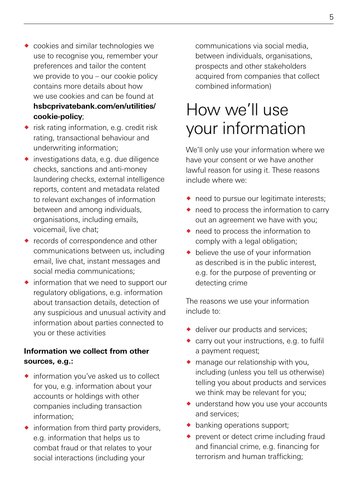- ® cookies and similar technologies we use to recognise you, remember your preferences and tailor the content we provide to you – our cookie policy contains more details about how we use cookies and can be found at **[hsbcprivatebank.com/en/utilities/](http://www.hsbcprivatebank.com/en/utilities/cookie-policy) [cookie-policy](http://www.hsbcprivatebank.com/en/utilities/cookie-policy)**;
- ® risk rating information, e.g. credit risk rating, transactional behaviour and underwriting information;
- $\bullet$  investigations data, e.g. due diligence checks, sanctions and anti-money laundering checks, external intelligence reports, content and metadata related to relevant exchanges of information between and among individuals, organisations, including emails, voicemail, live chat;
- $\bullet$  records of correspondence and other communications between us, including email, live chat, instant messages and social media communications;
- $\bullet$  information that we need to support our regulatory obligations, e.g. information about transaction details, detection of any suspicious and unusual activity and information about parties connected to you or these activities

### **Information we collect from other sources, e.g.:**

- ® information you've asked us to collect for you, e.g. information about your accounts or holdings with other companies including transaction information;
- $\bullet$  information from third party providers. e.g. information that helps us to combat fraud or that relates to your social interactions (including your

communications via social media, between individuals, organisations, prospects and other stakeholders acquired from companies that collect combined information)

# How we'll use your information

We'll only use your information where we have your consent or we have another lawful reason for using it. These reasons include where we:

- $\bullet$  need to pursue our legitimate interests:
- $\bullet$  need to process the information to carry out an agreement we have with you;
- $\bullet$  need to process the information to comply with a legal obligation:
- $\bullet$  believe the use of your information as described is in the public interest, e.g. for the purpose of preventing or detecting crime

The reasons we use your information include to:

- ◆ deliver our products and services:
- ◆ carry out your instructions, e.g. to fulfil a payment request;
- $\bullet$  manage our relationship with you, including (unless you tell us otherwise) telling you about products and services we think may be relevant for you;
- ® understand how you use your accounts and services;
- banking operations support:
- ◆ prevent or detect crime including fraud and financial crime, e.g. financing for terrorism and human trafficking;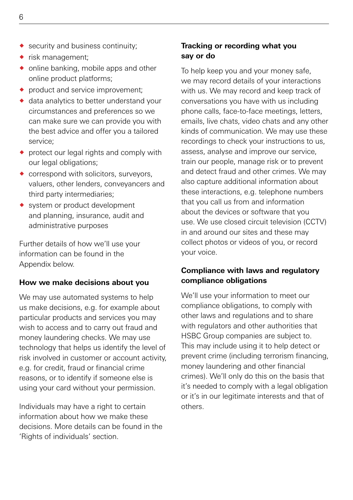- $\bullet$  security and business continuity;
- $\bullet$  risk management:
- online banking, mobile apps and other online product platforms;
- $\bullet$  product and service improvement;
- ® data analytics to better understand your circumstances and preferences so we can make sure we can provide you with the best advice and offer you a tailored service;
- $\bullet$  protect our legal rights and comply with our legal obligations:
- $\bullet$  correspond with solicitors, surveyors, valuers, other lenders, conveyancers and third party intermediaries;
- ◆ system or product development and planning, insurance, audit and administrative purposes

Further details of how we'll use your information can be found in the Appendix below.

#### **How we make decisions about you**

We may use automated systems to help us make decisions, e.g. for example about particular products and services you may wish to access and to carry out fraud and money laundering checks. We may use technology that helps us identify the level of risk involved in customer or account activity, e.g. for credit, fraud or financial crime reasons, or to identify if someone else is using your card without your permission.

Individuals may have a right to certain information about how we make these decisions. More details can be found in the 'Rights of individuals' section.

### **Tracking or recording what you say or do**

To help keep you and your money safe, we may record details of your interactions with us. We may record and keep track of conversations you have with us including phone calls, face-to-face meetings, letters, emails, live chats, video chats and any other kinds of communication. We may use these recordings to check your instructions to us, assess, analyse and improve our service, train our people, manage risk or to prevent and detect fraud and other crimes. We may also capture additional information about these interactions, e.g. telephone numbers that you call us from and information about the devices or software that you use. We use closed circuit television (CCTV) in and around our sites and these may collect photos or videos of you, or record your voice.

### **Compliance with laws and regulatory compliance obligations**

We'll use your information to meet our compliance obligations, to comply with other laws and regulations and to share with regulators and other authorities that HSBC Group companies are subject to. This may include using it to help detect or prevent crime (including terrorism financing, money laundering and other financial crimes). We'll only do this on the basis that it's needed to comply with a legal obligation or it's in our legitimate interests and that of others.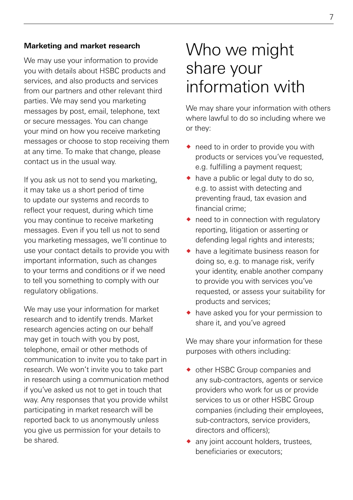#### **Marketing and market research**

We may use your information to provide you with details about HSBC products and services, and also products and services from our partners and other relevant third parties. We may send you marketing messages by post, email, telephone, text or secure messages. You can change your mind on how you receive marketing messages or choose to stop receiving them at any time. To make that change, please contact us in the usual way.

If you ask us not to send you marketing, it may take us a short period of time to update our systems and records to reflect your request, during which time you may continue to receive marketing messages. Even if you tell us not to send you marketing messages, we'll continue to use your contact details to provide you with important information, such as changes to your terms and conditions or if we need to tell you something to comply with our regulatory obligations.

We may use your information for market research and to identify trends. Market research agencies acting on our behalf may get in touch with you by post, telephone, email or other methods of communication to invite you to take part in research. We won't invite you to take part in research using a communication method if you've asked us not to get in touch that way. Any responses that you provide whilst participating in market research will be reported back to us anonymously unless you give us permission for your details to be shared.

### Who we might share your information with

We may share your information with others where lawful to do so including where we or they:

- ◆ need to in order to provide you with products or services you've requested, e.g. fulfilling a payment request;
- $\bullet$  have a public or legal duty to do so, e.g. to assist with detecting and preventing fraud, tax evasion and financial crime;
- $\bullet$  need to in connection with regulatory reporting, litigation or asserting or defending legal rights and interests;
- $\bullet$  have a legitimate business reason for doing so, e.g. to manage risk, verify your identity, enable another company to provide you with services you've requested, or assess your suitability for products and services;
- ® have asked you for your permission to share it, and you've agreed

We may share your information for these purposes with others including:

- ® other HSBC Group companies and any sub-contractors, agents or service providers who work for us or provide services to us or other HSBC Group companies (including their employees, sub-contractors, service providers, directors and officers);
- ◆ any joint account holders, trustees, beneficiaries or executors;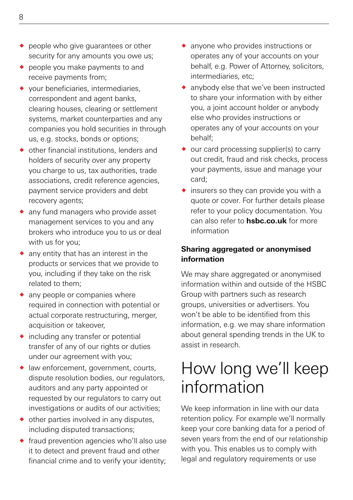- ◆ people who give guarantees or other security for any amounts you owe us;
- $\bullet$  people you make payments to and receive payments from;
- ® your beneficiaries, intermediaries, correspondent and agent banks, clearing houses, clearing or settlement systems, market counterparties and any companies you hold securities in through us, e.g. stocks, bonds or options;
- $\bullet$  other financial institutions, lenders and holders of security over any property you charge to us, tax authorities, trade associations, credit reference agencies, payment service providers and debt recovery agents;
- any fund managers who provide asset management services to you and any brokers who introduce you to us or deal with us for you;
- $\bullet$  any entity that has an interest in the products or services that we provide to you, including if they take on the risk related to them;
- $\bullet$  any people or companies where required in connection with potential or actual corporate restructuring, merger, acquisition or takeover,
- ® including any transfer or potential transfer of any of our rights or duties under our agreement with you;
- ® law enforcement, government, courts, dispute resolution bodies, our regulators, auditors and any party appointed or requested by our regulators to carry out investigations or audits of our activities;
- $\bullet$  other parties involved in any disputes. including disputed transactions;
- ® fraud prevention agencies who'll also use it to detect and prevent fraud and other financial crime and to verify your identity;
- ® anyone who provides instructions or operates any of your accounts on your behalf, e.g. Power of Attorney, solicitors, intermediaries, etc;
- ® anybody else that we've been instructed to share your information with by either you, a joint account holder or anybody else who provides instructions or operates any of your accounts on your behalf;
- $\bullet$  our card processing supplier(s) to carry out credit, fraud and risk checks, process your payments, issue and manage your card;
- $\bullet$  insurers so they can provide you with a quote or cover. For further details please refer to your policy documentation. You can also refer to **[hsbc.co.uk](http://www.hsbc.co.uk)** for more information

### **Sharing aggregated or anonymised information**

We may share aggregated or anonymised information within and outside of the HSBC Group with partners such as research groups, universities or advertisers. You won't be able to be identified from this information, e.g. we may share information about general spending trends in the UK to assist in research.

# How long we'll keep information

We keep information in line with our data retention policy. For example we'll normally keep your core banking data for a period of seven years from the end of our relationship with you. This enables us to comply with legal and regulatory requirements or use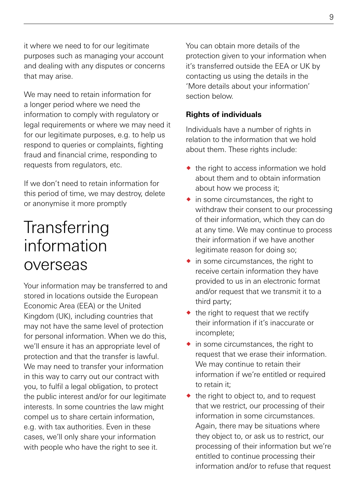it where we need to for our legitimate purposes such as managing your account and dealing with any disputes or concerns that may arise.

We may need to retain information for a longer period where we need the information to comply with regulatory or legal requirements or where we may need it for our legitimate purposes, e.g. to help us respond to queries or complaints, fighting fraud and financial crime, responding to requests from regulators, etc.

If we don't need to retain information for this period of time, we may destroy, delete or anonymise it more promptly

# **Transferring** information overseas

Your information may be transferred to and stored in locations outside the European Economic Area (EEA) or the United Kingdom (UK), including countries that may not have the same level of protection for personal information. When we do this, we'll ensure it has an appropriate level of protection and that the transfer is lawful. We may need to transfer your information in this way to carry out our contract with you, to fulfil a legal obligation, to protect the public interest and/or for our legitimate interests. In some countries the law might compel us to share certain information, e.g. with tax authorities. Even in these cases, we'll only share your information with people who have the right to see it.

You can obtain more details of the protection given to your information when it's transferred outside the EEA or UK by contacting us using the details in the 'More details about your information' section below.

### **Rights of individuals**

Individuals have a number of rights in relation to the information that we hold about them. These rights include:

- $\bullet$  the right to access information we hold about them and to obtain information about how we process it;
- $\bullet$  in some circumstances, the right to withdraw their consent to our processing of their information, which they can do at any time. We may continue to process their information if we have another legitimate reason for doing so;
- $\bullet$  in some circumstances, the right to receive certain information they have provided to us in an electronic format and/or request that we transmit it to a third party;
- $\bullet$  the right to request that we rectify their information if it's inaccurate or incomplete;
- $\bullet$  in some circumstances, the right to request that we erase their information. We may continue to retain their information if we're entitled or required to retain it;
- $\bullet$  the right to object to, and to request that we restrict, our processing of their information in some circumstances. Again, there may be situations where they object to, or ask us to restrict, our processing of their information but we're entitled to continue processing their information and/or to refuse that request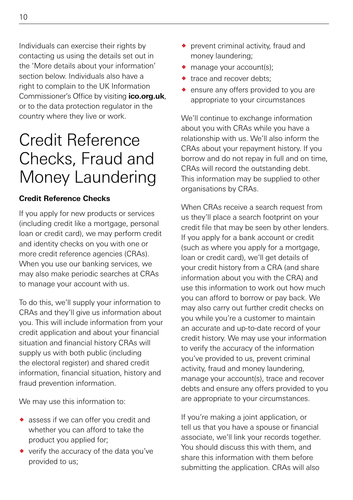Individuals can exercise their rights by contacting us using the details set out in the 'More details about your information' section below. Individuals also have a right to complain to the UK Information Commissioner's Office by visiting **[ico.org.uk](http://www.ico.org.uk)**, or to the data protection regulator in the country where they live or work.

# Credit Reference Checks, Fraud and Money Laundering

### **Credit Reference Checks**

If you apply for new products or services (including credit like a mortgage, personal loan or credit card), we may perform credit and identity checks on you with one or more credit reference agencies (CRAs). When you use our banking services, we may also make periodic searches at CRAs to manage your account with us.

To do this, we'll supply your information to CRAs and they'll give us information about you. This will include information from your credit application and about your financial situation and financial history CRAs will supply us with both public (including the electoral register) and shared credit information, financial situation, history and fraud prevention information.

We may use this information to:

- ® assess if we can offer you credit and whether you can afford to take the product you applied for;
- ® verify the accuracy of the data you've provided to us;
- ® prevent criminal activity, fraud and money laundering;
- $\bullet$  manage your account(s);
- trace and recover debts:
- ® ensure any offers provided to you are appropriate to your circumstances

We'll continue to exchange information about you with CRAs while you have a relationship with us. We'll also inform the CRAs about your repayment history. If you borrow and do not repay in full and on time, CRAs will record the outstanding debt. This information may be supplied to other organisations by CRAs.

When CRAs receive a search request from us they'll place a search footprint on your credit file that may be seen by other lenders. If you apply for a bank account or credit (such as where you apply for a mortgage, loan or credit card), we'll get details of your credit history from a CRA (and share information about you with the CRA) and use this information to work out how much you can afford to borrow or pay back. We may also carry out further credit checks on you while you're a customer to maintain an accurate and up-to-date record of your credit history. We may use your information to verify the accuracy of the information you've provided to us, prevent criminal activity, fraud and money laundering, manage your account(s), trace and recover debts and ensure any offers provided to you are appropriate to your circumstances.

If you're making a joint application, or tell us that you have a spouse or financial associate, we'll link your records together. You should discuss this with them, and share this information with them before submitting the application. CRAs will also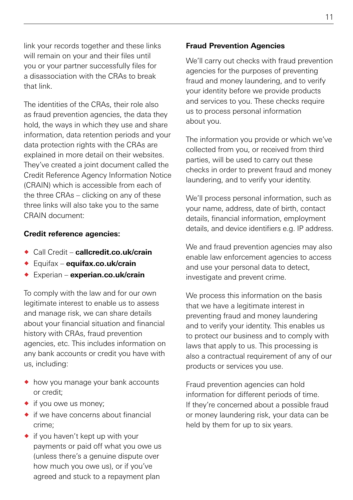link your records together and these links will remain on your and their files until you or your partner successfully files for a disassociation with the CRAs to break that link.

The identities of the CRAs, their role also as fraud prevention agencies, the data they hold, the ways in which they use and share information, data retention periods and your data protection rights with the CRAs are explained in more detail on their websites. They've created a joint document called the Credit Reference Agency Information Notice (CRAIN) which is accessible from each of the three CRAs – clicking on any of these three links will also take you to the same CRAIN document:

#### **Credit reference agencies:**

- ® Call Credit **[callcredit.co.uk/crain](http://www.callcredit.co.uk/crain)**
- ® Equifax **[equifax.co.uk/crain](http://www.equifax.co.uk/crain)**
- ® Experian **[experian.co.uk/crain](http://www.experian.co.uk/crain)**

To comply with the law and for our own legitimate interest to enable us to assess and manage risk, we can share details about your financial situation and financial history with CRAs, fraud prevention agencies, etc. This includes information on any bank accounts or credit you have with us, including:

- $\bullet$  how you manage your bank accounts or credit;
- $\bullet$  if you owe us money;
- $\bullet$  if we have concerns about financial crime;
- $\bullet$  if you haven't kept up with your payments or paid off what you owe us (unless there's a genuine dispute over how much you owe us), or if you've agreed and stuck to a repayment plan

#### **Fraud Prevention Agencies**

We'll carry out checks with fraud prevention agencies for the purposes of preventing fraud and money laundering, and to verify your identity before we provide products and services to you. These checks require us to process personal information about you.

The information you provide or which we've collected from you, or received from third parties, will be used to carry out these checks in order to prevent fraud and money laundering, and to verify your identity.

We'll process personal information, such as your name, address, date of birth, contact details, financial information, employment details, and device identifiers e.g. IP address.

We and fraud prevention agencies may also enable law enforcement agencies to access and use your personal data to detect. investigate and prevent crime.

We process this information on the basis that we have a legitimate interest in preventing fraud and money laundering and to verify your identity. This enables us to protect our business and to comply with laws that apply to us. This processing is also a contractual requirement of any of our products or services you use.

Fraud prevention agencies can hold information for different periods of time. If they're concerned about a possible fraud or money laundering risk, your data can be held by them for up to six years.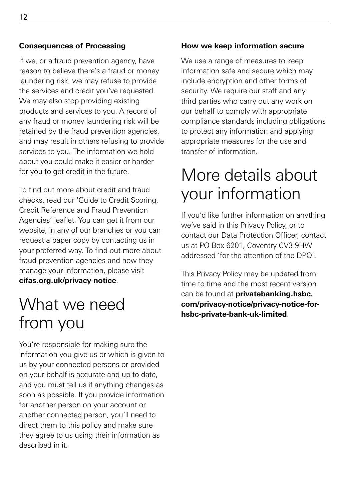#### **Consequences of Processing**

If we, or a fraud prevention agency, have reason to believe there's a fraud or money laundering risk, we may refuse to provide the services and credit you've requested. We may also stop providing existing products and services to you. A record of any fraud or money laundering risk will be retained by the fraud prevention agencies, and may result in others refusing to provide services to you. The information we hold about you could make it easier or harder for you to get credit in the future.

To find out more about credit and fraud checks, read our 'Guide to Credit Scoring, Credit Reference and Fraud Prevention Agencies' leaflet. You can get it from our website, in any of our branches or you can request a paper copy by contacting us in your preferred way. To find out more about fraud prevention agencies and how they manage your information, please visit **[cifas.org.uk/privacy-notice](http://www.cifas.org.uk/privacy-notice)**.

# What we need from you

You're responsible for making sure the information you give us or which is given to us by your connected persons or provided on your behalf is accurate and up to date, and you must tell us if anything changes as soon as possible. If you provide information for another person on your account or another connected person, you'll need to direct them to this policy and make sure they agree to us using their information as described in it.

#### **How we keep information secure**

We use a range of measures to keep information safe and secure which may include encryption and other forms of security. We require our staff and any third parties who carry out any work on our behalf to comply with appropriate compliance standards including obligations to protect any information and applying appropriate measures for the use and transfer of information.

### More details about your information

If you'd like further information on anything we've said in this Privacy Policy, or to contact our Data Protection Officer, contact us at PO Box 6201, Coventry CV3 9HW addressed 'for the attention of the DPO'.

This Privacy Policy may be updated from time to time and the most recent version can be found at **[privatebanking.hsbc.](http://www.privatebanking.hsbc.com/privacy-notice/privacy-notice-for-hsbc-private-bank-uk-limited) [com/privacy-notice/privacy-notice-for](http://www.privatebanking.hsbc.com/privacy-notice/privacy-notice-for-hsbc-private-bank-uk-limited)[hsbc-private-bank-uk-limited](http://www.privatebanking.hsbc.com/privacy-notice/privacy-notice-for-hsbc-private-bank-uk-limited)**.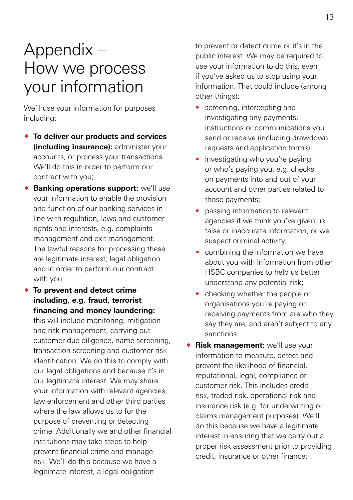# Appendix – How we process your information

We'll use your information for purposes including:

- ® **To deliver our products and services (including insurance):** administer your accounts, or process your transactions. We'll do this in order to perform our contract with you;
- **Banking operations support:** we'll use your information to enable the provision and function of our banking services in line with regulation, laws and customer rights and interests, e.g. complaints management and exit management. The lawful reasons for processing these are legitimate interest, legal obligation and in order to perform our contract with you;
- ® **To prevent and detect crime including, e.g. fraud, terrorist financing and money laundering:** this will include monitoring, mitigation and risk management, carrying out customer due diligence, name screening, transaction screening and customer risk identification. We do this to comply with our legal obligations and because it's in our legitimate interest. We may share your information with relevant agencies, law enforcement and other third parties where the law allows us to for the purpose of preventing or detecting crime. Additionally we and other financial institutions may take steps to help prevent financial crime and manage risk. We'll do this because we have a legitimate interest, a legal obligation

to prevent or detect crime or it's in the public interest. We may be required to use your information to do this, even if you've asked us to stop using your information. That could include (among other things):

- screening, intercepting and investigating any payments, instructions or communications you send or receive (including drawdown requests and application forms);
- investigating who you're paying or who's paying you, e.g. checks on payments into and out of your account and other parties related to those payments;
- passing information to relevant agencies if we think you've given us false or inaccurate information, or we suspect criminal activity;
- combining the information we have about you with information from other HSBC companies to help us better understand any potential risk;
- checking whether the people or organisations you're paying or receiving payments from are who they say they are, and aren't subject to any sanctions.
- **Risk management:** we'll use your information to measure, detect and prevent the likelihood of financial, reputational, legal, compliance or customer risk. This includes credit risk, traded risk, operational risk and insurance risk (e.g. for underwriting or claims management purposes). We'll do this because we have a legitimate interest in ensuring that we carry out a proper risk assessment prior to providing credit, insurance or other finance;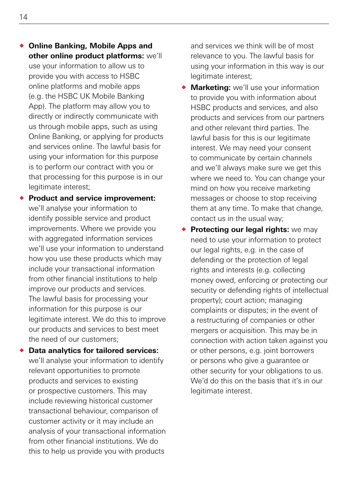- ® **Online Banking, Mobile Apps and other online product platforms:** we'll use your information to allow us to provide you with access to HSBC online platforms and mobile apps (e.g. the HSBC UK Mobile Banking App). The platform may allow you to directly or indirectly communicate with us through mobile apps, such as using Online Banking, or applying for products and services online. The lawful basis for using your information for this purpose is to perform our contract with you or that processing for this purpose is in our legitimate interest;
- ® **Product and service improvement:** we'll analyse your information to identify possible service and product improvements. Where we provide you with aggregated information services we'll use your information to understand how you use these products which may include your transactional information from other financial institutions to help improve our products and services. The lawful basis for processing your information for this purpose is our legitimate interest. We do this to improve our products and services to best meet the need of our customers;
- ® **Data analytics for tailored services:** we'll analyse your information to identify relevant opportunities to promote products and services to existing or prospective customers. This may include reviewing historical customer transactional behaviour, comparison of customer activity or it may include an analysis of your transactional information from other financial institutions. We do this to help us provide you with products

and services we think will be of most relevance to you. The lawful basis for using your information in this way is our legitimate interest;

- ® **Marketing:** we'll use your information to provide you with information about HSBC products and services, and also products and services from our partners and other relevant third parties. The lawful basis for this is our legitimate interest. We may need your consent to communicate by certain channels and we'll always make sure we get this where we need to. You can change your mind on how you receive marketing messages or choose to stop receiving them at any time. To make that change, contact us in the usual way;
- **Protecting our legal rights:** we may need to use your information to protect our legal rights, e.g. in the case of defending or the protection of legal rights and interests (e.g. collecting money owed, enforcing or protecting our security or defending rights of intellectual property); court action; managing complaints or disputes; in the event of a restructuring of companies or other mergers or acquisition. This may be in connection with action taken against you or other persons, e.g. joint borrowers or persons who give a guarantee or other security for your obligations to us. We'd do this on the basis that it's in our legitimate interest.